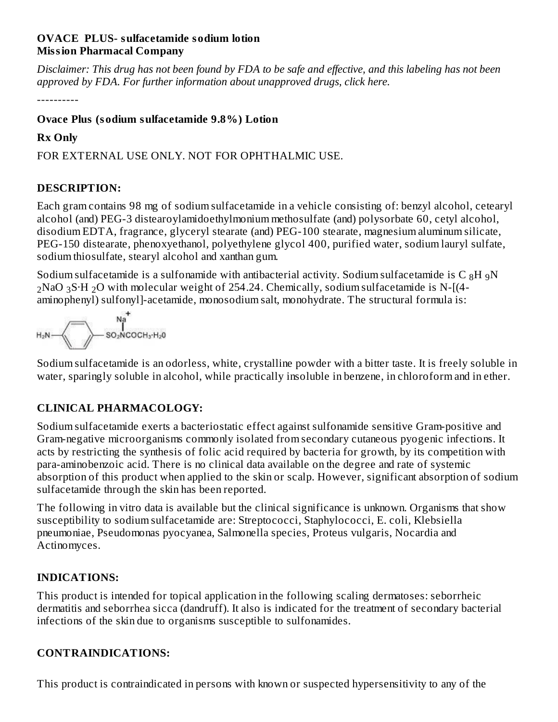### **OVACE PLUS- sulfacetamide sodium lotion Mission Pharmacal Company**

Disclaimer: This drug has not been found by FDA to be safe and effective, and this labeling has not been *approved by FDA. For further information about unapproved drugs, click here.*

----------

## **Ovace Plus (sodium sulfacetamide 9.8%) Lotion**

## **Rx Only**

FOR EXTERNAL USE ONLY. NOT FOR OPHTHALMIC USE.

## **DESCRIPTION:**

Each gram contains 98 mg of sodium sulfacetamide in a vehicle consisting of: benzyl alcohol, cetearyl alcohol (and) PEG-3 distearoylamidoethylmonium methosulfate (and) polysorbate 60, cetyl alcohol, disodium EDTA, fragrance, glyceryl stearate (and) PEG-100 stearate, magnesium aluminum silicate, PEG-150 distearate, phenoxyethanol, polyethylene glycol 400, purified water, sodium lauryl sulfate, sodium thiosulfate, stearyl alcohol and xanthan gum.

Sodium sulfacetamide is a sulfonamide with antibacterial activity. Sodium sulfacetamide is C  $_8\mathrm{H}$  <sub>9</sub>N  $_2$ NaO  $_3$ S·H  $_2$ O with molecular weight of 254.24. Chemically, sodium sulfacetamide is N-[(4aminophenyl) sulfonyl]-acetamide, monosodium salt, monohydrate. The structural formula is:



Sodium sulfacetamide is an odorless, white, crystalline powder with a bitter taste. It is freely soluble in water, sparingly soluble in alcohol, while practically insoluble in benzene, in chloroform and in ether.

## **CLINICAL PHARMACOLOGY:**

Sodium sulfacetamide exerts a bacteriostatic effect against sulfonamide sensitive Gram-positive and Gram-negative microorganisms commonly isolated from secondary cutaneous pyogenic infections. It acts by restricting the synthesis of folic acid required by bacteria for growth, by its competition with para-aminobenzoic acid. There is no clinical data available on the degree and rate of systemic absorption of this product when applied to the skin or scalp. However, significant absorption of sodium sulfacetamide through the skin has been reported.

The following in vitro data is available but the clinical significance is unknown. Organisms that show susceptibility to sodium sulfacetamide are: Streptococci, Staphylococci, E. coli, Klebsiella pneumoniae, Pseudomonas pyocyanea, Salmonella species, Proteus vulgaris, Nocardia and Actinomyces.

## **INDICATIONS:**

This product is intended for topical application in the following scaling dermatoses: seborrheic dermatitis and seborrhea sicca (dandruff). It also is indicated for the treatment of secondary bacterial infections of the skin due to organisms susceptible to sulfonamides.

## **CONTRAINDICATIONS:**

This product is contraindicated in persons with known or suspected hypersensitivity to any of the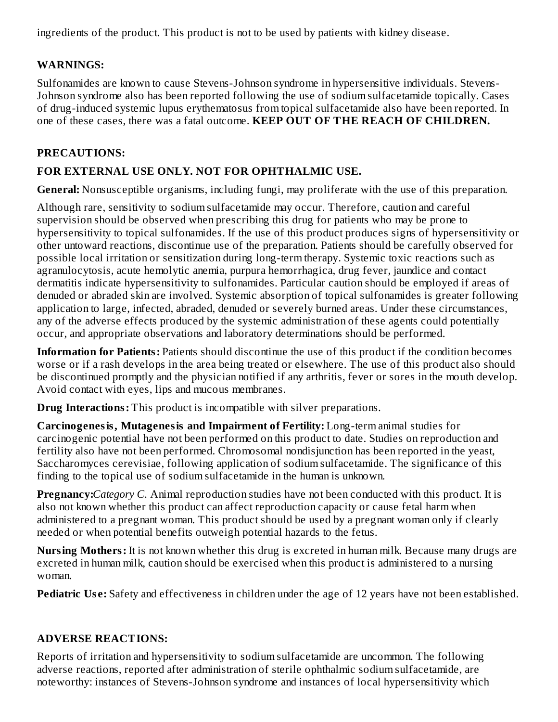ingredients of the product. This product is not to be used by patients with kidney disease.

#### **WARNINGS:**

Sulfonamides are known to cause Stevens-Johnson syndrome in hypersensitive individuals. Stevens-Johnson syndrome also has been reported following the use of sodium sulfacetamide topically. Cases of drug-induced systemic lupus erythematosus from topical sulfacetamide also have been reported. In one of these cases, there was a fatal outcome. **KEEP OUT OF THE REACH OF CHILDREN.**

### **PRECAUTIONS:**

## **FOR EXTERNAL USE ONLY. NOT FOR OPHTHALMIC USE.**

**General:** Nonsusceptible organisms, including fungi, may proliferate with the use of this preparation.

Although rare, sensitivity to sodium sulfacetamide may occur. Therefore, caution and careful supervision should be observed when prescribing this drug for patients who may be prone to hypersensitivity to topical sulfonamides. If the use of this product produces signs of hypersensitivity or other untoward reactions, discontinue use of the preparation. Patients should be carefully observed for possible local irritation or sensitization during long-term therapy. Systemic toxic reactions such as agranulocytosis, acute hemolytic anemia, purpura hemorrhagica, drug fever, jaundice and contact dermatitis indicate hypersensitivity to sulfonamides. Particular caution should be employed if areas of denuded or abraded skin are involved. Systemic absorption of topical sulfonamides is greater following application to large, infected, abraded, denuded or severely burned areas. Under these circumstances, any of the adverse effects produced by the systemic administration of these agents could potentially occur, and appropriate observations and laboratory determinations should be performed.

**Information for Patients:** Patients should discontinue the use of this product if the condition becomes worse or if a rash develops in the area being treated or elsewhere. The use of this product also should be discontinued promptly and the physician notified if any arthritis, fever or sores in the mouth develop. Avoid contact with eyes, lips and mucous membranes.

**Drug Interactions:** This product is incompatible with silver preparations.

**Carcinogenesis, Mutagenesis and Impairment of Fertility:** Long-term animal studies for carcinogenic potential have not been performed on this product to date. Studies on reproduction and fertility also have not been performed. Chromosomal nondisjunction has been reported in the yeast, Saccharomyces cerevisiae, following application of sodium sulfacetamide. The significance of this finding to the topical use of sodium sulfacetamide in the human is unknown.

**Pregnancy:***Category C.* Animal reproduction studies have not been conducted with this product. It is also not known whether this product can affect reproduction capacity or cause fetal harm when administered to a pregnant woman. This product should be used by a pregnant woman only if clearly needed or when potential benefits outweigh potential hazards to the fetus.

**Nursing Mothers:** It is not known whether this drug is excreted in human milk. Because many drugs are excreted in human milk, caution should be exercised when this product is administered to a nursing woman.

**Pediatric** Use: Safety and effectiveness in children under the age of 12 years have not been established.

#### **ADVERSE REACTIONS:**

Reports of irritation and hypersensitivity to sodium sulfacetamide are uncommon. The following adverse reactions, reported after administration of sterile ophthalmic sodium sulfacetamide, are noteworthy: instances of Stevens-Johnson syndrome and instances of local hypersensitivity which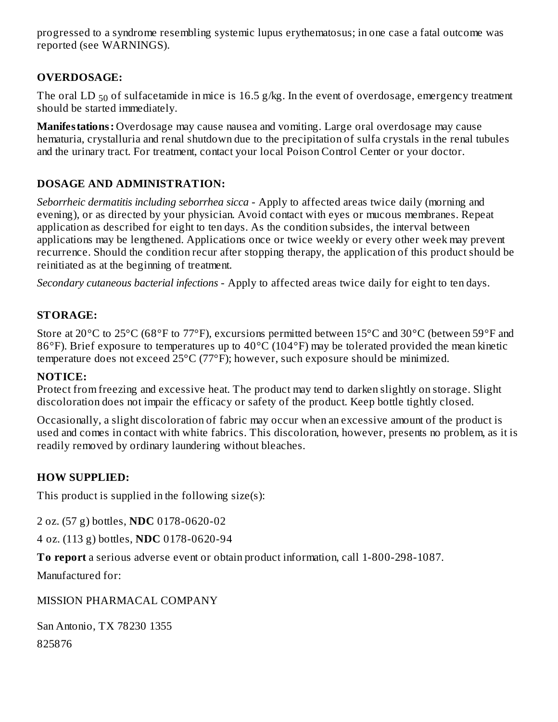progressed to a syndrome resembling systemic lupus erythematosus; in one case a fatal outcome was reported (see WARNINGS).

## **OVERDOSAGE:**

The oral LD  $_{50}$  of sulfacetamide in mice is 16.5 g/kg. In the event of overdosage, emergency treatment should be started immediately.

**Manifestations:** Overdosage may cause nausea and vomiting. Large oral overdosage may cause hematuria, crystalluria and renal shutdown due to the precipitation of sulfa crystals in the renal tubules and the urinary tract. For treatment, contact your local Poison Control Center or your doctor.

## **DOSAGE AND ADMINISTRATION:**

*Seborrheic dermatitis including seborrhea sicca* - Apply to affected areas twice daily (morning and evening), or as directed by your physician. Avoid contact with eyes or mucous membranes. Repeat application as described for eight to ten days. As the condition subsides, the interval between applications may be lengthened. Applications once or twice weekly or every other week may prevent recurrence. Should the condition recur after stopping therapy, the application of this product should be reinitiated as at the beginning of treatment.

*Secondary cutaneous bacterial infections* - Apply to affected areas twice daily for eight to ten days.

# **STORAGE:**

Store at 20°C to 25°C (68°F to 77°F), excursions permitted between 15°C and 30°C (between 59°F and 86°F). Brief exposure to temperatures up to 40°C (104°F) may be tolerated provided the mean kinetic temperature does not exceed 25°C (77°F); however, such exposure should be minimized.

## **NOTICE:**

Protect from freezing and excessive heat. The product may tend to darken slightly on storage. Slight discoloration does not impair the efficacy or safety of the product. Keep bottle tightly closed.

Occasionally, a slight discoloration of fabric may occur when an excessive amount of the product is used and comes in contact with white fabrics. This discoloration, however, presents no problem, as it is readily removed by ordinary laundering without bleaches.

## **HOW SUPPLIED:**

This product is supplied in the following size(s):

2 oz. (57 g) bottles, **NDC** 0178-0620-02

4 oz. (113 g) bottles, **NDC** 0178-0620-94

**To report** a serious adverse event or obtain product information, call 1-800-298-1087.

Manufactured for:

## MISSION PHARMACAL COMPANY

San Antonio, TX 78230 1355 825876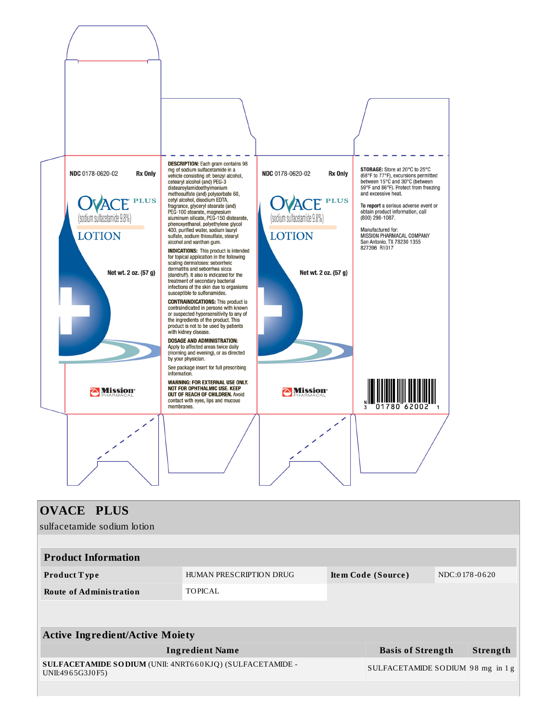

| <b>OVACE PLUS</b>                                                            |                         |                                   |                          |               |          |  |  |  |
|------------------------------------------------------------------------------|-------------------------|-----------------------------------|--------------------------|---------------|----------|--|--|--|
| sulfacetamide sodium lotion                                                  |                         |                                   |                          |               |          |  |  |  |
|                                                                              |                         |                                   |                          |               |          |  |  |  |
| <b>Product Information</b>                                                   |                         |                                   |                          |               |          |  |  |  |
| <b>Product Type</b>                                                          | HUMAN PRESCRIPTION DRUG | Item Code (Source)                |                          | NDC:0178-0620 |          |  |  |  |
| <b>Route of Administration</b>                                               | <b>TOPICAL</b>          |                                   |                          |               |          |  |  |  |
|                                                                              |                         |                                   |                          |               |          |  |  |  |
|                                                                              |                         |                                   |                          |               |          |  |  |  |
| <b>Active Ingredient/Active Moiety</b>                                       |                         |                                   |                          |               |          |  |  |  |
| <b>Ingredient Name</b>                                                       |                         |                                   | <b>Basis of Strength</b> |               | Strength |  |  |  |
| SULFACETAMIDE SODIUM (UNII: 4NRT660KJQ) (SULFACETAMIDE -<br>UNII:4965G3J0F5) |                         | SULFACETAMIDE SODIUM 98 mg in 1 g |                          |               |          |  |  |  |
|                                                                              |                         |                                   |                          |               |          |  |  |  |